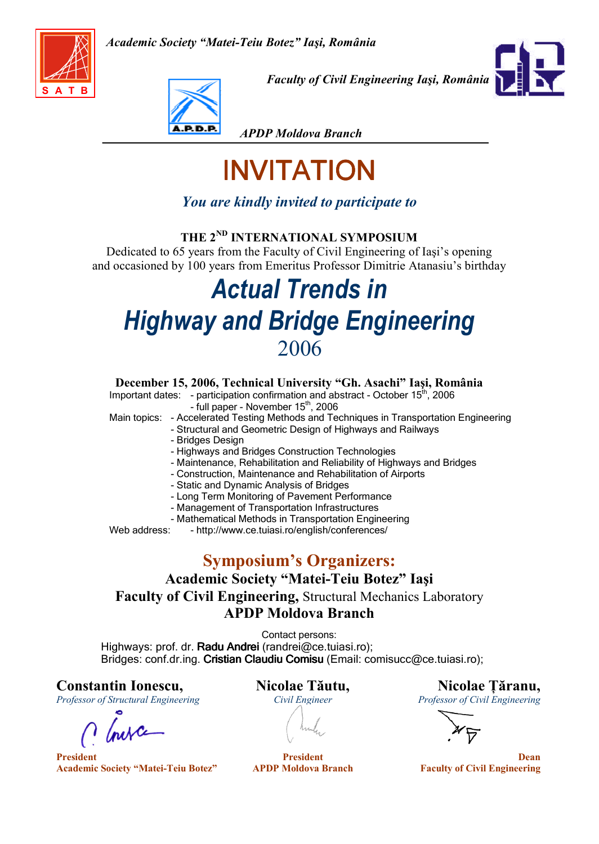



Faculty of Civil Engineering Iaşi, România



APDP Moldova Branch

# INVITATION

# You are kindly invited to participate to

## THE 2<sup>ND</sup> INTERNATIONAL SYMPOSIUM

Dedicated to 65 years from the Faculty of Civil Engineering of Iaşi's opening and occasioned by 100 years from Emeritus Professor Dimitrie Atanasiu's birthday

# Actual Trends in Highway and Bridge Engineering 2006

### December 15, 2006, Technical University "Gh. Asachi" Iaşi, România

Important dates: - participation confirmation and abstract - October  $15<sup>th</sup>$ , 2006  $-$  full paper - November  $15<sup>th</sup>$ , 2006

Main topics: - Accelerated Testing Methods and Techniques in Transportation Engineering

- Structural and Geometric Design of Highways and Railways
- Bridges Design
- Highways and Bridges Construction Technologies
- Maintenance, Rehabilitation and Reliability of Highways and Bridges
- Construction, Maintenance and Rehabilitation of Airports
- Static and Dynamic Analysis of Bridges
- Long Term Monitoring of Pavement Performance
- Management of Transportation Infrastructures
- Mathematical Methods in Transportation Engineering

Web address: - http://www.ce.tuiasi.ro/english/conferences/

# Symposium's Organizers:

## Academic Society "Matei-Teiu Botez" Iaşi Faculty of Civil Engineering, Structural Mechanics Laboratory APDP Moldova Branch

Contact persons: Highways: prof. dr. Radu Andrei (randrei@ce.tuiasi.ro); Bridges: conf.dr.ing. Cristian Claudiu Comisu (Email: comisucc@ce.tuiasi.ro);

# Constantin Ionescu,<br>
Professor of Structural Engineering Civil Engineer<br>
Civil Engineer<br>
Civil Engineer<br>
Civil Engineer<br>
Civil Engineer<br>
Civil Engineer<br>
Civil Engineer<br>
Civil Engineer<br>
Civil Engineer<br>
Civil Engineer<br>
Civil

Professor of Structural Engineering

Inexce

President President Dean Academic Society "Matei-Teiu Botez" APDP Moldova Branch Faculty of Civil Engineering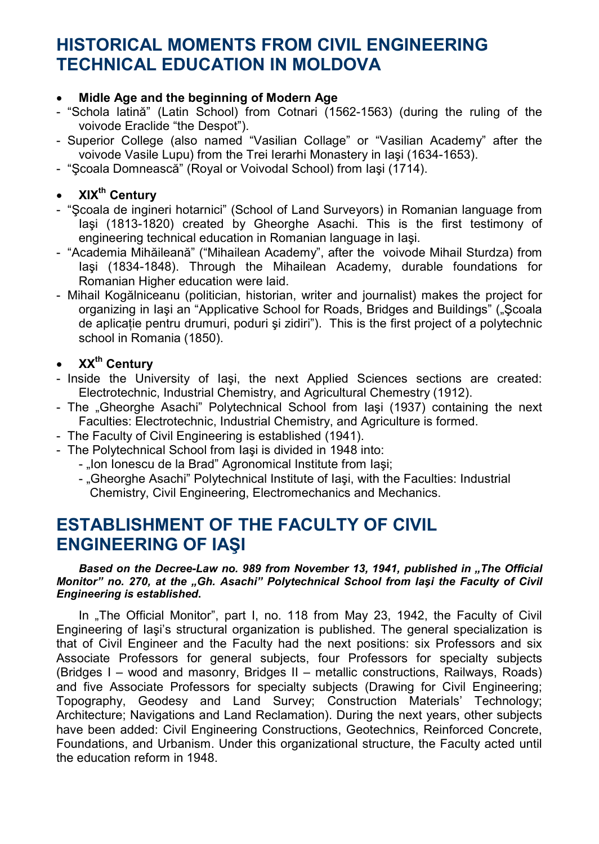# HISTORICAL MOMENTS FROM CIVIL ENGINEERING TECHNICAL EDUCATION IN MOLDOVA

### • Midle Age and the beginning of Modern Age

- "Schola latină" (Latin School) from Cotnari (1562-1563) (during the ruling of the voivode Eraclide "the Despot").
- Superior College (also named "Vasilian Collage" or "Vasilian Academy" after the voivode Vasile Lupu) from the Trei Ierarhi Monastery in Iaşi (1634-1653).
- "Şcoala Domnească" (Royal or Voivodal School) from Iaşi (1714).

### XIX<sup>th</sup> Centurv

- "Şcoala de ingineri hotarnici" (School of Land Surveyors) in Romanian language from Iaşi (1813-1820) created by Gheorghe Asachi. This is the first testimony of engineering technical education in Romanian language in Iaşi.
- "Academia Mihăileană" ("Mihailean Academy", after the voivode Mihail Sturdza) from Iaşi (1834-1848). Through the Mihailean Academy, durable foundations for Romanian Higher education were laid.
- Mihail Kogălniceanu (politician, historian, writer and journalist) makes the project for organizing in Iaşi an "Applicative School for Roads, Bridges and Buildings" ("Şcoala de aplicație pentru drumuri, poduri și zidiri"). This is the first project of a polytechnic school in Romania (1850).

## • XX<sup>th</sup> Century

- Inside the University of Iaşi, the next Applied Sciences sections are created: Electrotechnic, Industrial Chemistry, and Agricultural Chemestry (1912).
- The "Gheorghe Asachi" Polytechnical School from lasi (1937) containing the next Faculties: Electrotechnic, Industrial Chemistry, and Agriculture is formed.
- The Faculty of Civil Engineering is established (1941).
- The Polytechnical School from Iaşi is divided in 1948 into:
	- "Ion Ionescu de la Brad" Agronomical Institute from Iasi;
	- "Gheorghe Asachi" Polytechnical Institute of Iași, with the Faculties: Industrial Chemistry, Civil Engineering, Electromechanics and Mechanics.

# ESTABLISHMENT OF THE FACULTY OF CIVIL ENGINEERING OF IAŞI

### Based on the Decree-Law no. 989 from November 13, 1941, published in "The Official Monitor" no. 270, at the "Gh. Asachi" Polytechnical School from lasi the Faculty of Civil Engineering is established.

In "The Official Monitor", part I, no. 118 from May 23, 1942, the Faculty of Civil Engineering of Iaşi's structural organization is published. The general specialization is that of Civil Engineer and the Faculty had the next positions: six Professors and six Associate Professors for general subjects, four Professors for specialty subjects (Bridges I – wood and masonry, Bridges II – metallic constructions, Railways, Roads) and five Associate Professors for specialty subjects (Drawing for Civil Engineering; Topography, Geodesy and Land Survey; Construction Materials' Technology; Architecture; Navigations and Land Reclamation). During the next years, other subjects have been added: Civil Engineering Constructions, Geotechnics, Reinforced Concrete, Foundations, and Urbanism. Under this organizational structure, the Faculty acted until the education reform in 1948.